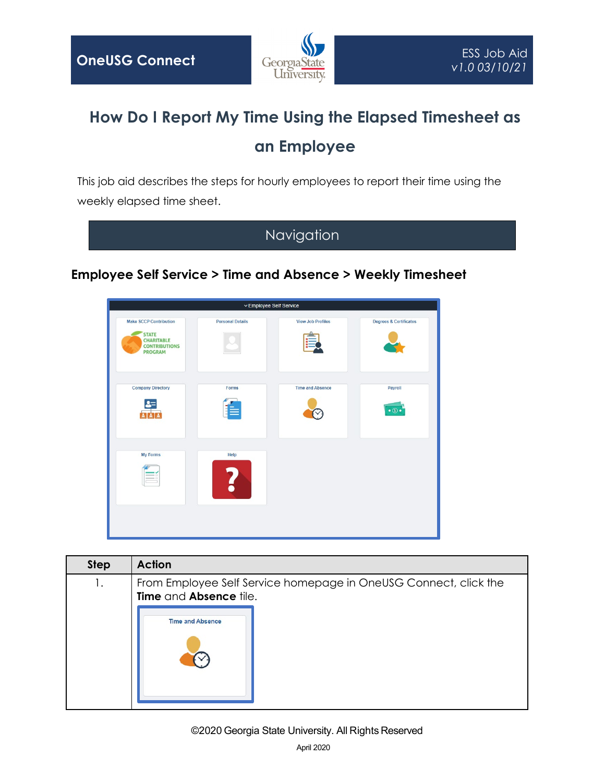

## **How Do I Report My Time Using the Elapsed Timesheet as an Employee**

This job aid describes the steps for hourly employees to report their time using the weekly elapsed time sheet.

Navigation

## **Employee Self Service > Time and Absence > Weekly Timesheet**



| <b>Step</b> | <b>Action</b>                                                                              |  |  |  |  |  |  |  |  |
|-------------|--------------------------------------------------------------------------------------------|--|--|--|--|--|--|--|--|
| 1.          | From Employee Self Service homepage in OneUSG Connect, click the<br>Time and Absence tile. |  |  |  |  |  |  |  |  |
|             | <b>Time and Absence</b>                                                                    |  |  |  |  |  |  |  |  |

## ©2020 Georgia State University. All Rights Reserved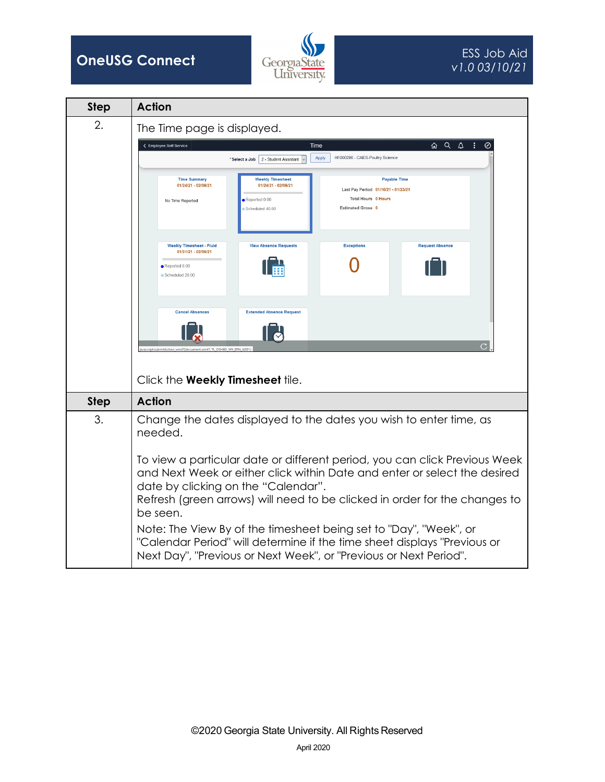



| <b>Step</b> | <b>Action</b>                                                                                                                                                                                                                                                                                                                                                                                                                                                                                                                                                                                   |  |  |  |  |  |  |  |  |
|-------------|-------------------------------------------------------------------------------------------------------------------------------------------------------------------------------------------------------------------------------------------------------------------------------------------------------------------------------------------------------------------------------------------------------------------------------------------------------------------------------------------------------------------------------------------------------------------------------------------------|--|--|--|--|--|--|--|--|
| 2.          | The Time page is displayed.                                                                                                                                                                                                                                                                                                                                                                                                                                                                                                                                                                     |  |  |  |  |  |  |  |  |
|             | 60 Q Q<br>- 11<br>← Employee Self Service<br>Time                                                                                                                                                                                                                                                                                                                                                                                                                                                                                                                                               |  |  |  |  |  |  |  |  |
|             | H1000286 - CAES-Poultry Science<br>Apply<br>"Select a Job   2 - Student Assistant                                                                                                                                                                                                                                                                                                                                                                                                                                                                                                               |  |  |  |  |  |  |  |  |
|             | <b>Weekly Timesheet</b><br><b>Payable Time</b><br><b>Time Summary</b><br>01/24/21 - 02/06/21<br>01/24/21 - 02/06/21<br>Last Pay Period 01/10/21 - 01/23/21<br><b>Total Hours 0 Hours</b><br>Reported 0.00<br>No Time Reported<br><b>Estimated Gross 0</b><br>Scheduled 40.00<br><b>Weekly Timesheet - Fluid</b><br><b>View Absence Requests</b><br><b>Exceptions</b><br><b>Request Absence</b><br>01/31/21 - 02/06/21                                                                                                                                                                           |  |  |  |  |  |  |  |  |
|             | $\bullet$ Reported 0.00<br>Scheduled 20.00<br><b>Cancel Absences</b><br><b>Extended Absence Request</b><br>avascript:submitAction_win47(document.win47,'TL_DSHBD_WK_BTN_ADD'                                                                                                                                                                                                                                                                                                                                                                                                                    |  |  |  |  |  |  |  |  |
| <b>Step</b> | Click the Weekly Timesheet tile.<br><b>Action</b>                                                                                                                                                                                                                                                                                                                                                                                                                                                                                                                                               |  |  |  |  |  |  |  |  |
|             |                                                                                                                                                                                                                                                                                                                                                                                                                                                                                                                                                                                                 |  |  |  |  |  |  |  |  |
| 3.          | Change the dates displayed to the dates you wish to enter time, as<br>needed.<br>To view a particular date or different period, you can click Previous Week<br>and Next Week or either click within Date and enter or select the desired<br>date by clicking on the "Calendar".<br>Refresh (green arrows) will need to be clicked in order for the changes to<br>be seen.<br>Note: The View By of the timesheet being set to "Day", "Week", or<br>"Calendar Period" will determine if the time sheet displays "Previous or<br>Next Day", "Previous or Next Week", or "Previous or Next Period". |  |  |  |  |  |  |  |  |